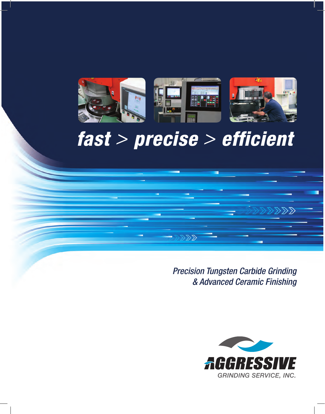

# *fast > precise > efficient*

 $\gg$ 

*Precision Tungsten Carbide Grinding & Advanced Ceramic Finishing*

 $\gg$ 

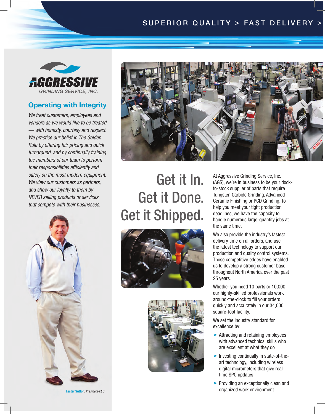### SUPERIOR QUALITY > FAST DELIVERY



#### Operating with Integrity

*We treat customers, employees and vendors as we would like to be treated — with honesty, courtesy and respect. We practice our belief in The Golden Rule by offering fair pricing and quick turnaround, and by continually training the members of our team to perform their responsibilities efficiently and safely on the most modern equipment. We view our customers as partners, and show our loyalty to them by NEVER selling products or services that compete with their businesses.* 





# Get it In. Get it Done. Get it Shipped.





At Aggressive Grinding Service, Inc. (AGS), we're in business to be your dockto-stock supplier of parts that require Tungsten Carbide Grinding, Advanced Ceramic Finishing or PCD Grinding. To help you meet your tight production deadlines, we have the capacity to handle numerous large-quantity jobs at the same time.

We also provide the industry's fastest delivery time on all orders, and use the latest technology to support our production and quality control systems. Those competitive edges have enabled us to develop a strong customer base throughout North America over the past 25 years.

Whether you need 10 parts or 10,000, our highly-skilled professionals work around-the-clock to fill your orders quickly and accurately in our 34,000 square-foot facility.

We set the industry standard for excellence by:

- > Attracting and retaining employees with advanced technical skills who are excellent at what they do
- > Investing continually in state-of-theart technology, including wireless digital micrometers that give realtime SPC updates
- > Providing an exceptionally clean and organized work environment Lester Sutton, *President/CEO*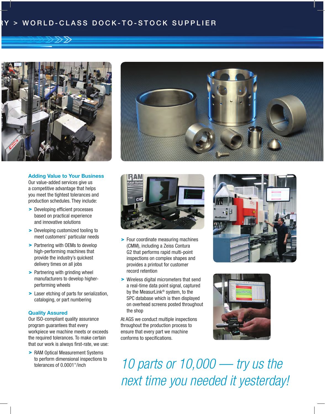### $>$  WORLD-CLASS DOCK-TO-STOCK SUPPLIER



#### Adding Value to Your Business

Our value-added services give us a competitive advantage that helps you meet the tightest tolerances and production schedules. They include:

- > Developing efficient processes based on practical experience and innovative solutions
- > Developing customized tooling to meet customers' particular needs
- > Partnering with OEMs to develop high-performing machines that provide the industry's quickest delivery times on all jobs
- > Partnering with grinding wheel manufacturers to develop higherperforming wheels
- > Laser etching of parts for serialization, cataloging, or part numbering

#### Quality Assured

Our ISO-compliant quality assurance program guarantees that every workpiece we machine meets or exceeds the required tolerances. To make certain that our work is always first-rate, we use:

> RAM Optical Measurement Systems to perform dimensional inspections to tolerances of 0.0001"/inch





- > Four coordinate measuring machines (CMM), including a Zeiss Contura G2 that performs rapid multi-point inspections on complex shapes and provides a printout for customer record retention
- > Wireless digital micrometers that send a real-time data point signal, captured by the MeasurLink® system, to the SPC database which is then displayed on overhead screens posted throughout the shop

At AGS we conduct multiple inspections throughout the production process to ensure that every part we machine conforms to specifications.





*10 parts or 10,000 — try us the next time you needed it yesterday!*